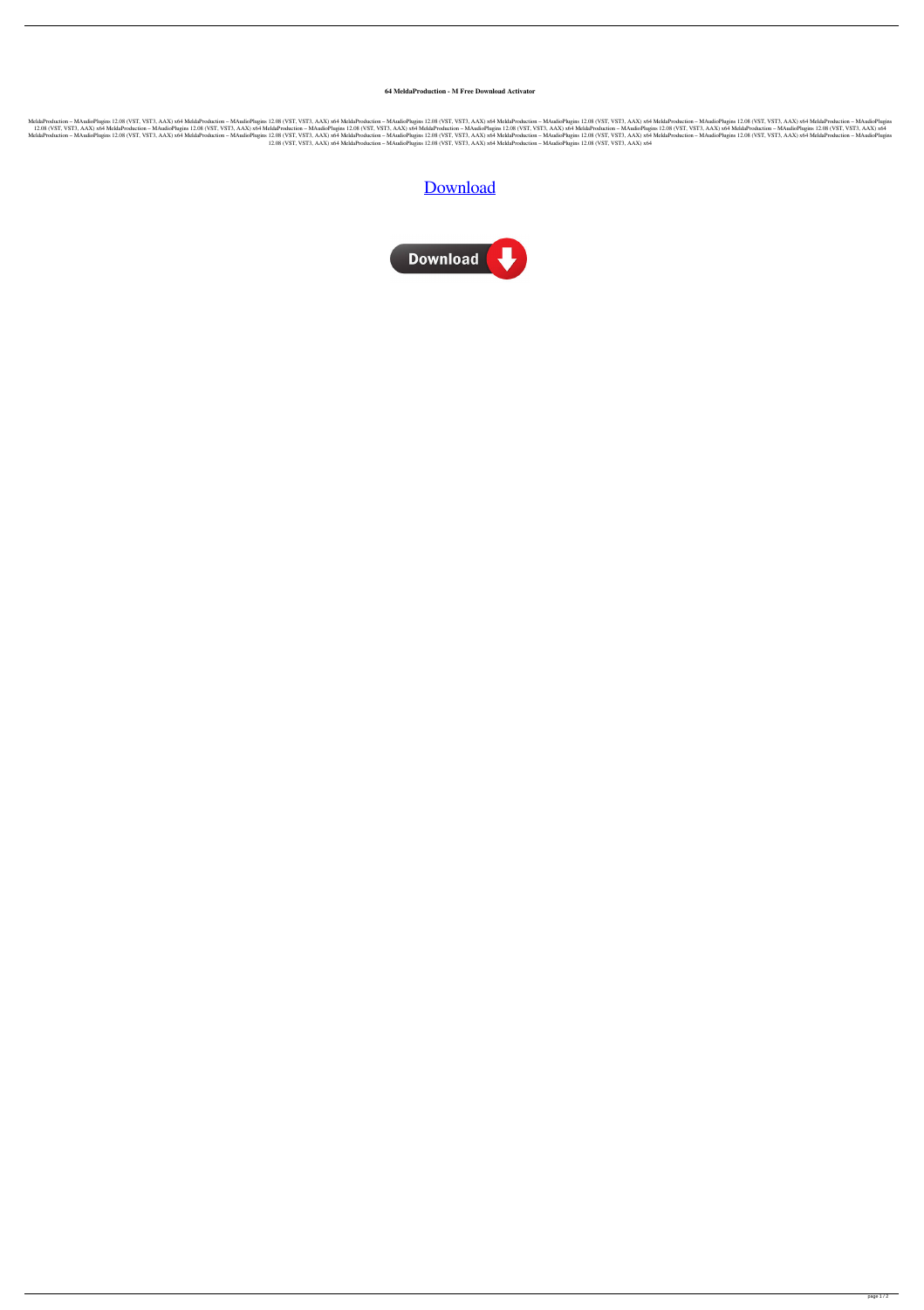## **64 MeldaProduction - M Free Download Activator**

MeldaProduction - MAudioPlugins 12.08 (VST, VST3, AAX) x64 MeldaProduction - MAudioPlugins 12.08 (VST, VST3, AAX) x64 MeldaProduction - MAudioPlugins 12.08 (VST, VST3, AAX) x64 MeldaProduction - MAudioPlugins 12.08 (VST, V 12.08 (VST, VST3, AAX) x64 MeldaProduction - MAudioPlugins 12.08 (VST, VST3, AAX) x64 MeldaProduction - MAudioPlugins 12.08 (VST, VST3, AAX) x64 MeldaProduction - MAudioPlugins 12.08 (VST, VST3, AAX) x64 MeldaProduction - MeldaProduction - MAudioPlugins 12.08 (VST, VST3, AAX) x64 MeldaProduction - MAudioPlugins 12.08 (VST, VST3, AAX) x64 MeldaProduction - MAudioPlugins 12.08 (VST, VST3, AAX) x64 MeldaProduction - MAudioPlugins 12.08 (VST, V 12.08 (VST, VST3, AAX) x64 MeldaProduction – MAudioPlugins 12.08 (VST, VST3, AAX) x64 MeldaProduction – MAudioPlugins 12.08 (VST, VST3, AAX) x64

## [Download](http://evacdir.com/artefacts/bocce/saccharin.convincing/floorings/acento.joplin/ZG93bmxvYWR8RFE0TVhKdlkzeDhNVFkxTWpjME1EZzJObng4TWpVM05IeDhLRTBwSUhKbFlXUXRZbXh2WnlCYlJtRnpkQ0JIUlU1ZA/TWVsZGFQcm9kdWN0aW9uIC0gTUF1ZGlvUGx1Z2lucyAxMi4wOCAoVlNULCBWU1QzLCBBQVgpIHg2NATWV)